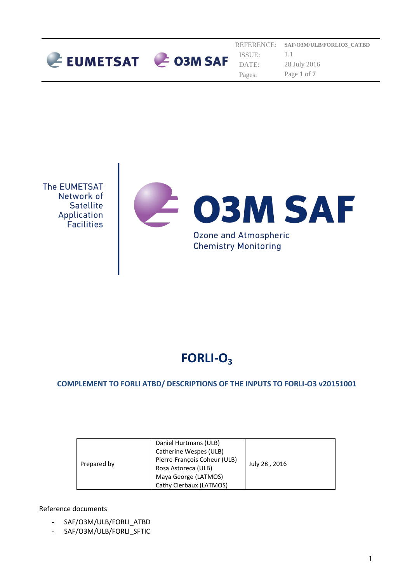



# **FORLI-O<sup>3</sup>**

## **COMPLEMENT TO FORLI ATBD/ DESCRIPTIONS OF THE INPUTS TO FORLI-O3 v20151001**

| Prepared by | Daniel Hurtmans (ULB)<br>Catherine Wespes (ULB) |               |
|-------------|-------------------------------------------------|---------------|
|             | Pierre-François Coheur (ULB)                    |               |
|             | Rosa Astoreca (ULB)                             | July 28, 2016 |
|             | Maya George (LATMOS)                            |               |
|             | Cathy Clerbaux (LATMOS)                         |               |

#### Reference documents

- SAF/O3M/ULB/FORLI ATBD
- SAF/O3M/ULB/FORLI\_SFTIC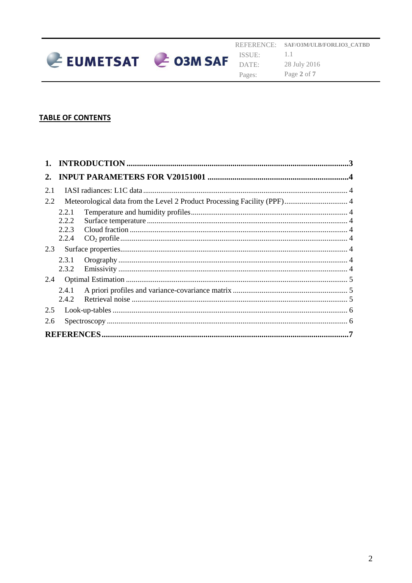

## **TABLE OF CONTENTS**

| 2.  |       |  |  |
|-----|-------|--|--|
| 2.1 |       |  |  |
| 2.2 |       |  |  |
|     | 2.2.1 |  |  |
|     | 2.2.2 |  |  |
|     | 2.2.3 |  |  |
|     | 2.2.4 |  |  |
| 2.3 |       |  |  |
|     | 2.3.1 |  |  |
|     | 2.3.2 |  |  |
| 2.4 |       |  |  |
|     | 2.4.1 |  |  |
|     | 2.4.2 |  |  |
| 2.5 |       |  |  |
| 2.6 |       |  |  |
|     |       |  |  |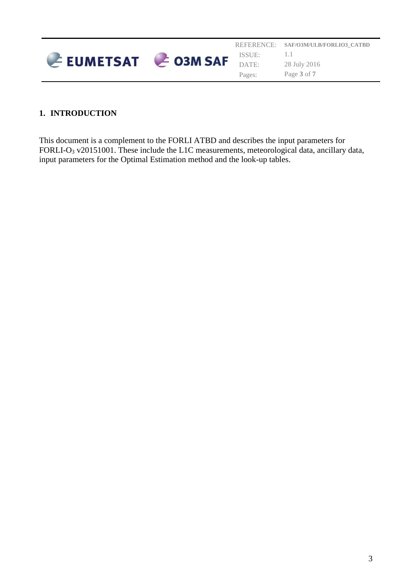|                   |        | REFERENCE: SAF/O3M/ULB/FORLIO3 CATBD |
|-------------------|--------|--------------------------------------|
|                   | ISSUE: |                                      |
| EUMETSAT CO3M SAF |        | 28 July 2016                         |
|                   | Pages: | Page 3 of 7                          |

## <span id="page-2-0"></span>**1. INTRODUCTION**

This document is a complement to the FORLI ATBD and describes the input parameters for FORLI-O<sub>3</sub> v20151001. These include the L1C measurements, meteorological data, ancillary data, input parameters for the Optimal Estimation method and the look-up tables.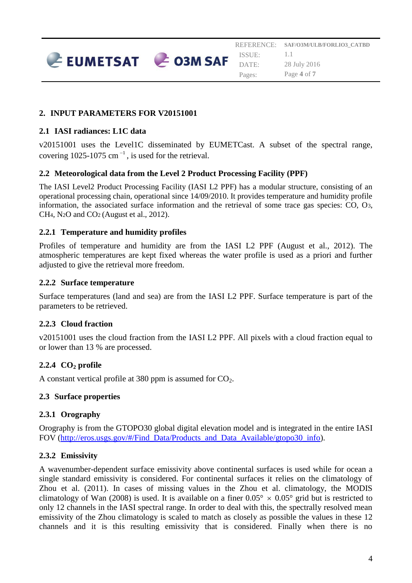REFERENCE: ISSUE: DATE: Pages: **SAF/O3M/ULB/FORLIO3\_CATBD** 1.1 28 July 2016 Page **4** of **7**

## <span id="page-3-0"></span>**2. INPUT PARAMETERS FOR V20151001**

EUMETSAT CO3M SAF

#### <span id="page-3-1"></span>**2.1 IASI radiances: L1C data**

v20151001 uses the Level1C disseminated by EUMETCast. A subset of the spectral range, covering  $1025-1075$  cm<sup>-1</sup>, is used for the retrieval.

#### <span id="page-3-2"></span>**2.2 Meteorological data from the Level 2 Product Processing Facility (PPF)**

The IASI Level2 Product Processing Facility (IASI L2 PPF) has a modular structure, consisting of an operational processing chain, operational since 14/09/2010. It provides temperature and humidity profile information, the associated surface information and the retrieval of some trace gas species: CO, O3, CH4, N2O and CO2 (August et al., 2012).

#### <span id="page-3-3"></span>**2.2.1 Temperature and humidity profiles**

Profiles of temperature and humidity are from the IASI L2 PPF (August et al., 2012). The atmospheric temperatures are kept fixed whereas the water profile is used as a priori and further adjusted to give the retrieval more freedom.

#### <span id="page-3-4"></span>**2.2.2 Surface temperature**

Surface temperatures (land and sea) are from the IASI L2 PPF. Surface temperature is part of the parameters to be retrieved.

## <span id="page-3-5"></span>**2.2.3 Cloud fraction**

v20151001 uses the cloud fraction from the IASI L2 PPF. All pixels with a cloud fraction equal to or lower than 13 % are processed.

## <span id="page-3-6"></span>**2.2.4 CO<sup>2</sup> profile**

A constant vertical profile at 380 ppm is assumed for  $CO<sub>2</sub>$ .

#### <span id="page-3-7"></span>**2.3 Surface properties**

## <span id="page-3-8"></span>**2.3.1 Orography**

Orography is from the GTOPO30 global digital elevation model and is integrated in the entire IASI FOV [\(http://eros.usgs.gov/#/Find\\_Data/Products\\_and\\_Data\\_Available/gtopo30\\_info\)](http://eros.usgs.gov/#/Find_Data/Products_and_Data_Available/gtopo30_info).

## <span id="page-3-9"></span>**2.3.2 Emissivity**

A wavenumber-dependent surface emissivity above continental surfaces is used while for ocean a single standard emissivity is considered. For continental surfaces it relies on the climatology of Zhou et al. (2011). In cases of missing values in the Zhou et al. climatology, the MODIS climatology of Wan (2008) is used. It is available on a finer  $0.05^{\circ} \times 0.05^{\circ}$  grid but is restricted to only 12 channels in the IASI spectral range. In order to deal with this, the spectrally resolved mean emissivity of the Zhou climatology is scaled to match as closely as possible the values in these 12 channels and it is this resulting emissivity that is considered. Finally when there is no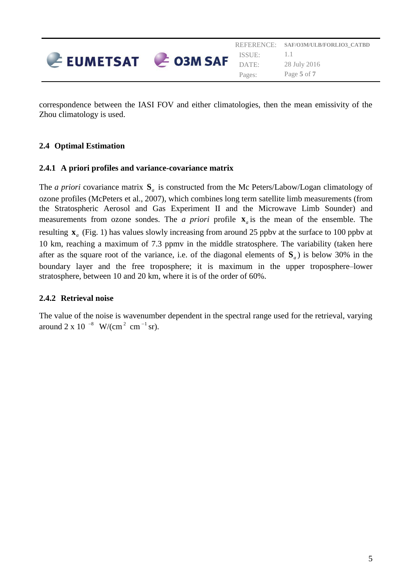

correspondence between the IASI FOV and either climatologies, then the mean emissivity of the Zhou climatology is used.

## <span id="page-4-0"></span>**2.4 Optimal Estimation**

#### <span id="page-4-1"></span>**2.4.1 A priori profiles and variance-covariance matrix**

The *a priori* covariance matrix  $S_a$  is constructed from the Mc Peters/Labow/Logan climatology of ozone profiles (McPeters et al., 2007), which combines long term satellite limb measurements (from the Stratospheric Aerosol and Gas Experiment II and the Microwave Limb Sounder) and measurements from ozone sondes. The *a priori* profile  $\mathbf{x}_a$  is the mean of the ensemble. The resulting  $\mathbf{x}_a$  (Fig. 1) has values slowly increasing from around 25 ppbv at the surface to 100 ppbv at 10 km, reaching a maximum of 7.3 ppmv in the middle stratosphere. The variability (taken here after as the square root of the variance, i.e. of the diagonal elements of **S***a* ) is below 30% in the boundary layer and the free troposphere; it is maximum in the upper troposphere–lower stratosphere, between 10 and 20 km, where it is of the order of 60%.

## <span id="page-4-2"></span>**2.4.2 Retrieval noise**

The value of the noise is wavenumber dependent in the spectral range used for the retrieval, varying around 2 x 10  $^{-8}$  W/(cm<sup>2</sup> cm<sup>-1</sup> sr).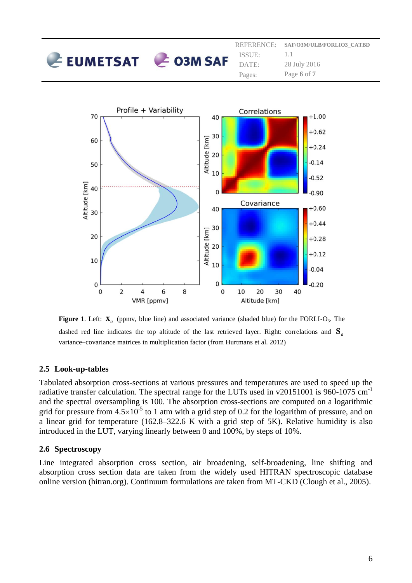|                          | ISSUE:          | REFERENCE: SAF/O3M/ULB/FORLIO3 CATBD |
|--------------------------|-----------------|--------------------------------------|
| $E$ EUMETSAT $E$ O3M SAF | DATE:<br>Pages: | 28 July 2016<br>Page 6 of 7          |



**Figure 1.** Left:  $\mathbf{X}_a$  (ppmv, blue line) and associated variance (shaded blue) for the FORLI-O<sub>3</sub>. The dashed red line indicates the top altitude of the last retrieved layer. Right: correlations and **S***a* variance–covariance matrices in multiplication factor (from Hurtmans et al. 2012)

## <span id="page-5-0"></span>**2.5 Look-up-tables**

Tabulated absorption cross-sections at various pressures and temperatures are used to speed up the radiative transfer calculation. The spectral range for the LUTs used in v20151001 is 960-1075 cm-1 and the spectral oversampling is 100. The absorption cross-sections are computed on a logarithmic grid for pressure from  $4.5\times10^{-5}$  to 1 atm with a grid step of 0.2 for the logarithm of pressure, and on a linear grid for temperature (162.8–322.6 K with a grid step of 5K). Relative humidity is also introduced in the LUT, varying linearly between 0 and 100%, by steps of 10%.

#### <span id="page-5-1"></span>**2.6 Spectroscopy**

Line integrated absorption cross section, air broadening, self-broadening, line shifting and absorption cross section data are taken from the widely used HITRAN spectroscopic database online version (hitran.org). Continuum formulations are taken from MT-CKD (Clough et al., 2005).